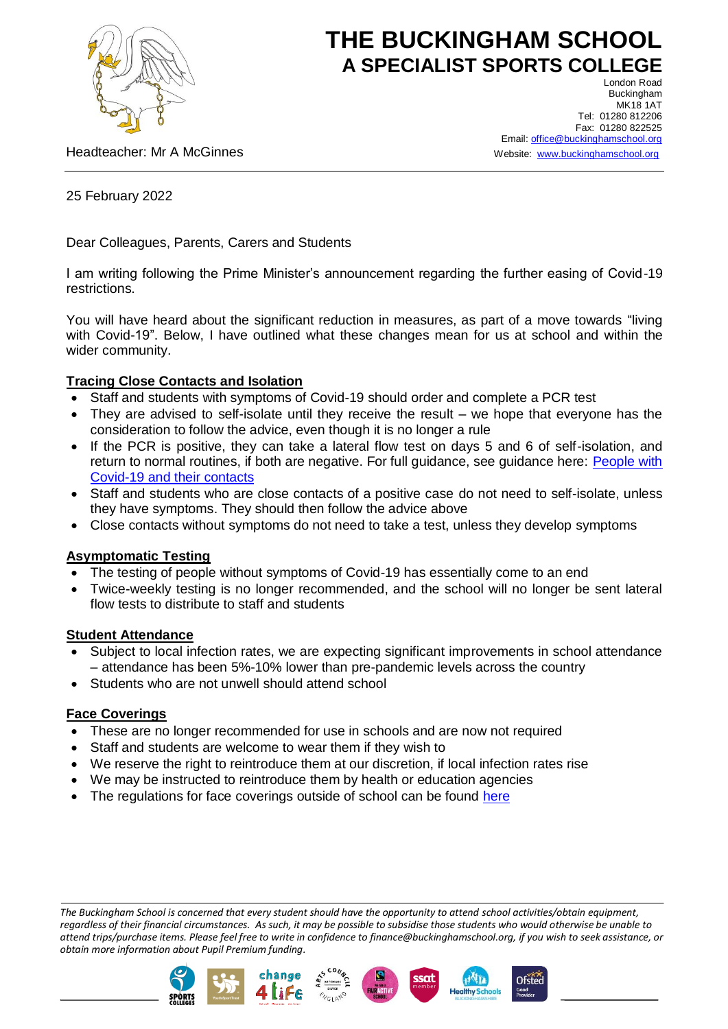

# **THE BUCKINGHAM SCHOOL A SPECIALIST SPORTS COLLEGE**

Headteacher: Mr A McGinnes

London Road Buckingham MK18 1AT Tel: 01280 812206 Fax: 01280 822525 Email: **office@buckinghamschool.org** Website: [www.buckinghamschool.org](http://www.buckinghamschool.org/)

25 February 2022

Dear Colleagues, Parents, Carers and Students

I am writing following the Prime Minister's announcement regarding the further easing of Covid-19 restrictions.

You will have heard about the significant reduction in measures, as part of a move towards "living with Covid-19". Below, I have outlined what these changes mean for us at school and within the wider community.

#### **Tracing Close Contacts and Isolation**

- Staff and students with symptoms of Covid-19 should order and complete a PCR test
- They are advised to self-isolate until they receive the result we hope that everyone has the consideration to follow the advice, even though it is no longer a rule
- If the PCR is positive, they can take a lateral flow test on days 5 and 6 of self-isolation, and return to normal routines, if both are negative. For full guidance, see guidance here: [People with](https://www.gov.uk/government/publications/covid-19-people-with-covid-19-and-their-contacts/covid-19-people-with-covid-19-and-their-contacts)  [Covid-19 and their contacts](https://www.gov.uk/government/publications/covid-19-people-with-covid-19-and-their-contacts/covid-19-people-with-covid-19-and-their-contacts)
- Staff and students who are close contacts of a positive case do not need to self-isolate, unless they have symptoms. They should then follow the advice above
- Close contacts without symptoms do not need to take a test, unless they develop symptoms

### **Asymptomatic Testing**

- The testing of people without symptoms of Covid-19 has essentially come to an end
- Twice-weekly testing is no longer recommended, and the school will no longer be sent lateral flow tests to distribute to staff and students

#### **Student Attendance**

- Subject to local infection rates, we are expecting significant improvements in school attendance – attendance has been 5%-10% lower than pre-pandemic levels across the country
- Students who are not unwell should attend school

#### **Face Coverings**

- These are no longer recommended for use in schools and are now not required
- Staff and students are welcome to wear them if they wish to
- We reserve the right to reintroduce them at our discretion, if local infection rates rise
- We may be instructed to reintroduce them by health or education agencies
- The regulations for face coverings outside of school can be found [here](https://www.gov.uk/government/publications/face-coverings-when-to-wear-one-and-how-to-make-your-own/face-coverings-when-to-wear-one-and-how-to-make-your-own)

*The Buckingham School is concerned that every student should have the opportunity to attend school activities/obtain equipment, regardless of their financial circumstances. As such, it may be possible to subsidise those students who would otherwise be unable to attend trips/purchase items. Please feel free to write in confidence to finance@buckinghamschool.org, if you wish to seek assistance, or obtain more information about Pupil Premium funding.*